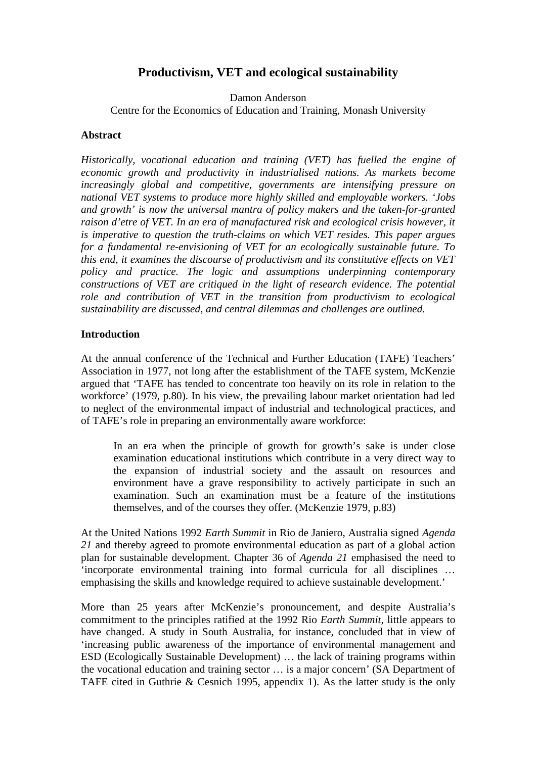# **Productivism, VET and ecological sustainability**

Damon Anderson

Centre for the Economics of Education and Training, Monash University

### **Abstract**

*Historically, vocational education and training (VET) has fuelled the engine of economic growth and productivity in industrialised nations. As markets become increasingly global and competitive, governments are intensifying pressure on national VET systems to produce more highly skilled and employable workers. 'Jobs and growth' is now the universal mantra of policy makers and the taken-for-granted raison d'etre of VET. In an era of manufactured risk and ecological crisis however, it is imperative to question the truth-claims on which VET resides. This paper argues for a fundamental re-envisioning of VET for an ecologically sustainable future. To this end, it examines the discourse of productivism and its constitutive effects on VET policy and practice. The logic and assumptions underpinning contemporary constructions of VET are critiqued in the light of research evidence. The potential role and contribution of VET in the transition from productivism to ecological sustainability are discussed, and central dilemmas and challenges are outlined.* 

# **Introduction**

At the annual conference of the Technical and Further Education (TAFE) Teachers' Association in 1977, not long after the establishment of the TAFE system, McKenzie argued that 'TAFE has tended to concentrate too heavily on its role in relation to the workforce' (1979, p.80). In his view, the prevailing labour market orientation had led to neglect of the environmental impact of industrial and technological practices, and of TAFE's role in preparing an environmentally aware workforce:

In an era when the principle of growth for growth's sake is under close examination educational institutions which contribute in a very direct way to the expansion of industrial society and the assault on resources and environment have a grave responsibility to actively participate in such an examination. Such an examination must be a feature of the institutions themselves, and of the courses they offer. (McKenzie 1979, p.83)

At the United Nations 1992 *Earth Summit* in Rio de Janiero, Australia signed *Agenda 21* and thereby agreed to promote environmental education as part of a global action plan for sustainable development. Chapter 36 of *Agenda 21* emphasised the need to 'incorporate environmental training into formal curricula for all disciplines … emphasising the skills and knowledge required to achieve sustainable development.'

More than 25 years after McKenzie's pronouncement, and despite Australia's commitment to the principles ratified at the 1992 Rio *Earth Summit*, little appears to have changed. A study in South Australia, for instance, concluded that in view of 'increasing public awareness of the importance of environmental management and ESD (Ecologically Sustainable Development) … the lack of training programs within the vocational education and training sector … is a major concern' (SA Department of TAFE cited in Guthrie & Cesnich 1995, appendix 1). As the latter study is the only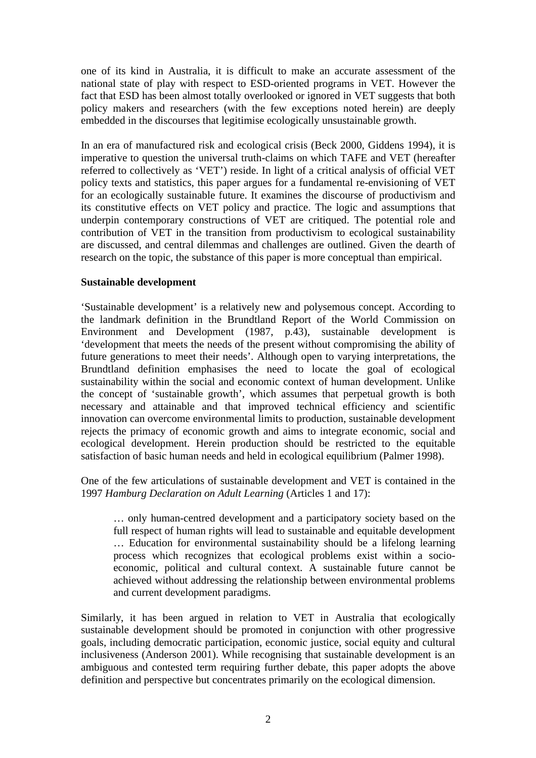one of its kind in Australia, it is difficult to make an accurate assessment of the national state of play with respect to ESD-oriented programs in VET. However the fact that ESD has been almost totally overlooked or ignored in VET suggests that both policy makers and researchers (with the few exceptions noted herein) are deeply embedded in the discourses that legitimise ecologically unsustainable growth.

In an era of manufactured risk and ecological crisis (Beck 2000, Giddens 1994), it is imperative to question the universal truth-claims on which TAFE and VET (hereafter referred to collectively as 'VET') reside. In light of a critical analysis of official VET policy texts and statistics, this paper argues for a fundamental re-envisioning of VET for an ecologically sustainable future. It examines the discourse of productivism and its constitutive effects on VET policy and practice. The logic and assumptions that underpin contemporary constructions of VET are critiqued. The potential role and contribution of VET in the transition from productivism to ecological sustainability are discussed, and central dilemmas and challenges are outlined. Given the dearth of research on the topic, the substance of this paper is more conceptual than empirical.

# **Sustainable development**

'Sustainable development' is a relatively new and polysemous concept. According to the landmark definition in the Brundtland Report of the World Commission on Environment and Development (1987, p.43), sustainable development is 'development that meets the needs of the present without compromising the ability of future generations to meet their needs'. Although open to varying interpretations, the Brundtland definition emphasises the need to locate the goal of ecological sustainability within the social and economic context of human development. Unlike the concept of 'sustainable growth', which assumes that perpetual growth is both necessary and attainable and that improved technical efficiency and scientific innovation can overcome environmental limits to production, sustainable development rejects the primacy of economic growth and aims to integrate economic, social and ecological development. Herein production should be restricted to the equitable satisfaction of basic human needs and held in ecological equilibrium (Palmer 1998).

One of the few articulations of sustainable development and VET is contained in the 1997 *Hamburg Declaration on Adult Learning* (Articles 1 and 17):

… only human-centred development and a participatory society based on the full respect of human rights will lead to sustainable and equitable development … Education for environmental sustainability should be a lifelong learning process which recognizes that ecological problems exist within a socioeconomic, political and cultural context. A sustainable future cannot be achieved without addressing the relationship between environmental problems and current development paradigms.

Similarly, it has been argued in relation to VET in Australia that ecologically sustainable development should be promoted in conjunction with other progressive goals, including democratic participation, economic justice, social equity and cultural inclusiveness (Anderson 2001). While recognising that sustainable development is an ambiguous and contested term requiring further debate, this paper adopts the above definition and perspective but concentrates primarily on the ecological dimension.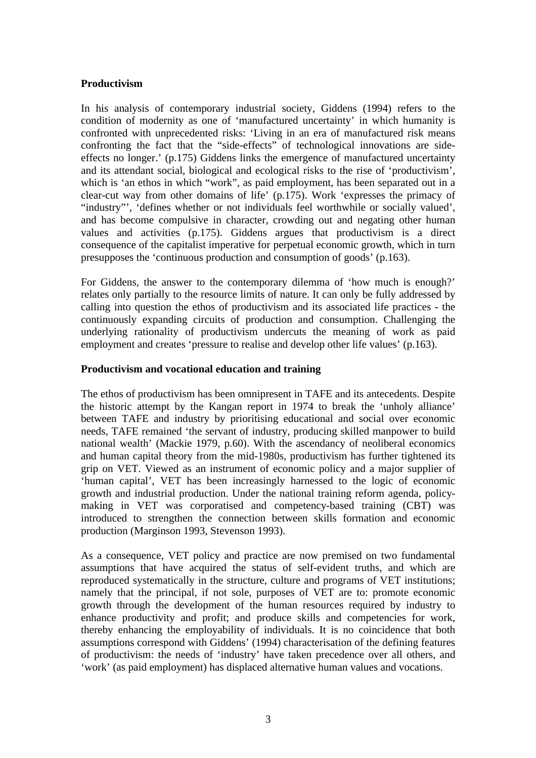# **Productivism**

In his analysis of contemporary industrial society, Giddens (1994) refers to the condition of modernity as one of 'manufactured uncertainty' in which humanity is confronted with unprecedented risks: 'Living in an era of manufactured risk means confronting the fact that the "side-effects" of technological innovations are sideeffects no longer.' (p.175) Giddens links the emergence of manufactured uncertainty and its attendant social, biological and ecological risks to the rise of 'productivism', which is 'an ethos in which "work", as paid employment, has been separated out in a clear-cut way from other domains of life' (p.175). Work 'expresses the primacy of "industry"', 'defines whether or not individuals feel worthwhile or socially valued', and has become compulsive in character, crowding out and negating other human values and activities (p.175). Giddens argues that productivism is a direct consequence of the capitalist imperative for perpetual economic growth, which in turn presupposes the 'continuous production and consumption of goods' (p.163).

For Giddens, the answer to the contemporary dilemma of 'how much is enough?' relates only partially to the resource limits of nature. It can only be fully addressed by calling into question the ethos of productivism and its associated life practices - the continuously expanding circuits of production and consumption. Challenging the underlying rationality of productivism undercuts the meaning of work as paid employment and creates 'pressure to realise and develop other life values' (p.163).

#### **Productivism and vocational education and training**

The ethos of productivism has been omnipresent in TAFE and its antecedents. Despite the historic attempt by the Kangan report in 1974 to break the 'unholy alliance' between TAFE and industry by prioritising educational and social over economic needs, TAFE remained 'the servant of industry, producing skilled manpower to build national wealth' (Mackie 1979, p.60). With the ascendancy of neoliberal economics and human capital theory from the mid-1980s, productivism has further tightened its grip on VET. Viewed as an instrument of economic policy and a major supplier of 'human capital', VET has been increasingly harnessed to the logic of economic growth and industrial production. Under the national training reform agenda, policymaking in VET was corporatised and competency-based training (CBT) was introduced to strengthen the connection between skills formation and economic production (Marginson 1993, Stevenson 1993).

As a consequence, VET policy and practice are now premised on two fundamental assumptions that have acquired the status of self-evident truths, and which are reproduced systematically in the structure, culture and programs of VET institutions; namely that the principal, if not sole, purposes of VET are to: promote economic growth through the development of the human resources required by industry to enhance productivity and profit; and produce skills and competencies for work, thereby enhancing the employability of individuals. It is no coincidence that both assumptions correspond with Giddens' (1994) characterisation of the defining features of productivism: the needs of 'industry' have taken precedence over all others, and 'work' (as paid employment) has displaced alternative human values and vocations.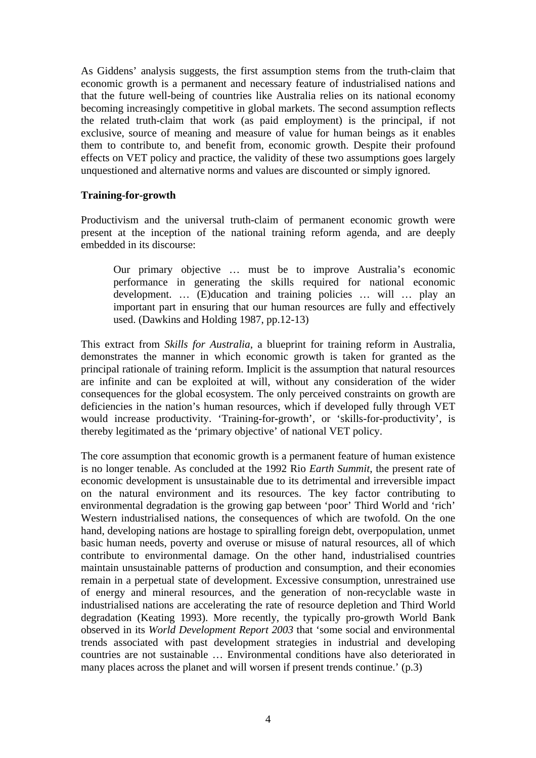As Giddens' analysis suggests, the first assumption stems from the truth-claim that economic growth is a permanent and necessary feature of industrialised nations and that the future well-being of countries like Australia relies on its national economy becoming increasingly competitive in global markets. The second assumption reflects the related truth-claim that work (as paid employment) is the principal, if not exclusive, source of meaning and measure of value for human beings as it enables them to contribute to, and benefit from, economic growth. Despite their profound effects on VET policy and practice, the validity of these two assumptions goes largely unquestioned and alternative norms and values are discounted or simply ignored.

# **Training-for-growth**

Productivism and the universal truth-claim of permanent economic growth were present at the inception of the national training reform agenda, and are deeply embedded in its discourse:

Our primary objective … must be to improve Australia's economic performance in generating the skills required for national economic development. … (E)ducation and training policies … will … play an important part in ensuring that our human resources are fully and effectively used. (Dawkins and Holding 1987, pp.12-13)

This extract from *Skills for Australia*, a blueprint for training reform in Australia, demonstrates the manner in which economic growth is taken for granted as the principal rationale of training reform. Implicit is the assumption that natural resources are infinite and can be exploited at will, without any consideration of the wider consequences for the global ecosystem. The only perceived constraints on growth are deficiencies in the nation's human resources, which if developed fully through VET would increase productivity. 'Training-for-growth', or 'skills-for-productivity', is thereby legitimated as the 'primary objective' of national VET policy.

The core assumption that economic growth is a permanent feature of human existence is no longer tenable. As concluded at the 1992 Rio *Earth Summit*, the present rate of economic development is unsustainable due to its detrimental and irreversible impact on the natural environment and its resources. The key factor contributing to environmental degradation is the growing gap between 'poor' Third World and 'rich' Western industrialised nations, the consequences of which are twofold. On the one hand, developing nations are hostage to spiralling foreign debt, overpopulation, unmet basic human needs, poverty and overuse or misuse of natural resources, all of which contribute to environmental damage. On the other hand, industrialised countries maintain unsustainable patterns of production and consumption, and their economies remain in a perpetual state of development. Excessive consumption, unrestrained use of energy and mineral resources, and the generation of non-recyclable waste in industrialised nations are accelerating the rate of resource depletion and Third World degradation (Keating 1993). More recently, the typically pro-growth World Bank observed in its *World Development Report 2003* that 'some social and environmental trends associated with past development strategies in industrial and developing countries are not sustainable … Environmental conditions have also deteriorated in many places across the planet and will worsen if present trends continue.' (p.3)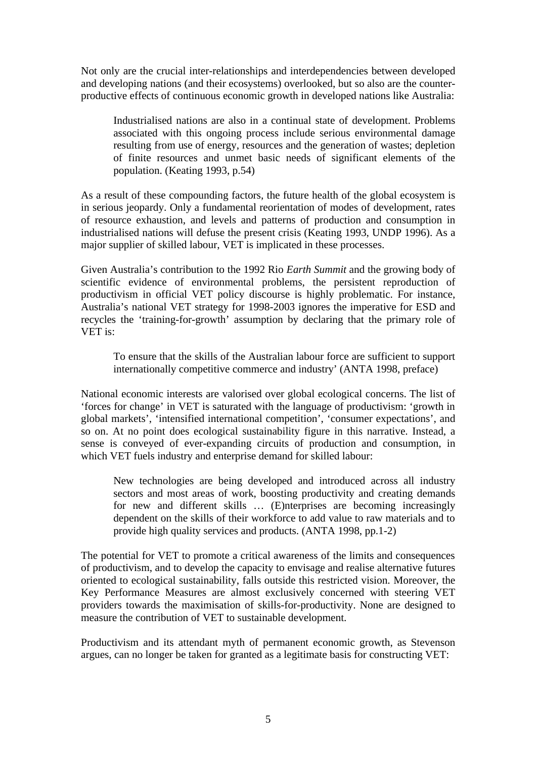Not only are the crucial inter-relationships and interdependencies between developed and developing nations (and their ecosystems) overlooked, but so also are the counterproductive effects of continuous economic growth in developed nations like Australia:

Industrialised nations are also in a continual state of development. Problems associated with this ongoing process include serious environmental damage resulting from use of energy, resources and the generation of wastes; depletion of finite resources and unmet basic needs of significant elements of the population. (Keating 1993, p.54)

As a result of these compounding factors, the future health of the global ecosystem is in serious jeopardy. Only a fundamental reorientation of modes of development, rates of resource exhaustion, and levels and patterns of production and consumption in industrialised nations will defuse the present crisis (Keating 1993, UNDP 1996). As a major supplier of skilled labour, VET is implicated in these processes.

Given Australia's contribution to the 1992 Rio *Earth Summit* and the growing body of scientific evidence of environmental problems, the persistent reproduction of productivism in official VET policy discourse is highly problematic. For instance, Australia's national VET strategy for 1998-2003 ignores the imperative for ESD and recycles the 'training-for-growth' assumption by declaring that the primary role of VET is:

To ensure that the skills of the Australian labour force are sufficient to support internationally competitive commerce and industry' (ANTA 1998, preface)

National economic interests are valorised over global ecological concerns. The list of 'forces for change' in VET is saturated with the language of productivism: 'growth in global markets', 'intensified international competition', 'consumer expectations', and so on. At no point does ecological sustainability figure in this narrative. Instead, a sense is conveyed of ever-expanding circuits of production and consumption, in which VET fuels industry and enterprise demand for skilled labour:

New technologies are being developed and introduced across all industry sectors and most areas of work, boosting productivity and creating demands for new and different skills … (E)nterprises are becoming increasingly dependent on the skills of their workforce to add value to raw materials and to provide high quality services and products. (ANTA 1998, pp.1-2)

The potential for VET to promote a critical awareness of the limits and consequences of productivism, and to develop the capacity to envisage and realise alternative futures oriented to ecological sustainability, falls outside this restricted vision. Moreover, the Key Performance Measures are almost exclusively concerned with steering VET providers towards the maximisation of skills-for-productivity. None are designed to measure the contribution of VET to sustainable development.

Productivism and its attendant myth of permanent economic growth, as Stevenson argues, can no longer be taken for granted as a legitimate basis for constructing VET: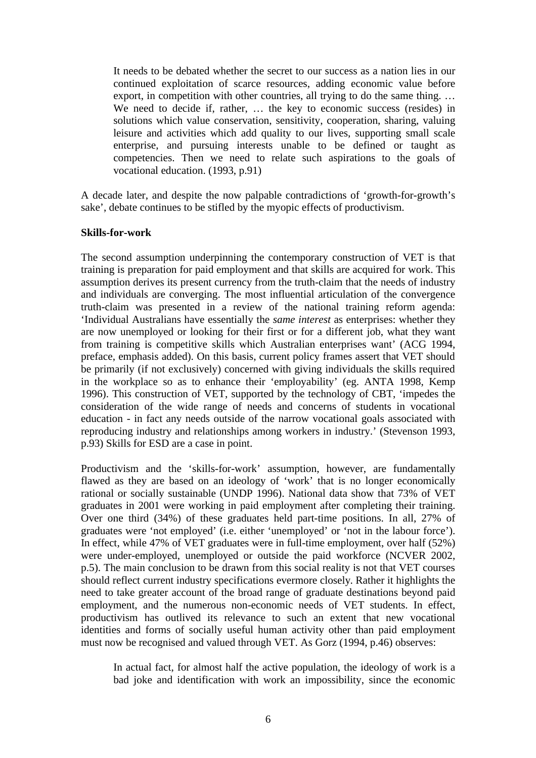It needs to be debated whether the secret to our success as a nation lies in our continued exploitation of scarce resources, adding economic value before export, in competition with other countries, all trying to do the same thing... We need to decide if, rather, … the key to economic success (resides) in solutions which value conservation, sensitivity, cooperation, sharing, valuing leisure and activities which add quality to our lives, supporting small scale enterprise, and pursuing interests unable to be defined or taught as competencies. Then we need to relate such aspirations to the goals of vocational education. (1993, p.91)

A decade later, and despite the now palpable contradictions of 'growth-for-growth's sake', debate continues to be stifled by the myopic effects of productivism.

#### **Skills-for-work**

The second assumption underpinning the contemporary construction of VET is that training is preparation for paid employment and that skills are acquired for work. This assumption derives its present currency from the truth-claim that the needs of industry and individuals are converging. The most influential articulation of the convergence truth-claim was presented in a review of the national training reform agenda: 'Individual Australians have essentially the *same interest* as enterprises: whether they are now unemployed or looking for their first or for a different job, what they want from training is competitive skills which Australian enterprises want' (ACG 1994, preface, emphasis added). On this basis, current policy frames assert that VET should be primarily (if not exclusively) concerned with giving individuals the skills required in the workplace so as to enhance their 'employability' (eg. ANTA 1998, Kemp 1996). This construction of VET, supported by the technology of CBT, 'impedes the consideration of the wide range of needs and concerns of students in vocational education - in fact any needs outside of the narrow vocational goals associated with reproducing industry and relationships among workers in industry.' (Stevenson 1993, p.93) Skills for ESD are a case in point.

Productivism and the 'skills-for-work' assumption, however, are fundamentally flawed as they are based on an ideology of 'work' that is no longer economically rational or socially sustainable (UNDP 1996). National data show that 73% of VET graduates in 2001 were working in paid employment after completing their training. Over one third (34%) of these graduates held part-time positions. In all, 27% of graduates were 'not employed' (i.e. either 'unemployed' or 'not in the labour force'). In effect, while 47% of VET graduates were in full-time employment, over half (52%) were under-employed, unemployed or outside the paid workforce (NCVER 2002, p.5). The main conclusion to be drawn from this social reality is not that VET courses should reflect current industry specifications evermore closely. Rather it highlights the need to take greater account of the broad range of graduate destinations beyond paid employment, and the numerous non-economic needs of VET students. In effect, productivism has outlived its relevance to such an extent that new vocational identities and forms of socially useful human activity other than paid employment must now be recognised and valued through VET. As Gorz (1994, p.46) observes:

In actual fact, for almost half the active population, the ideology of work is a bad joke and identification with work an impossibility, since the economic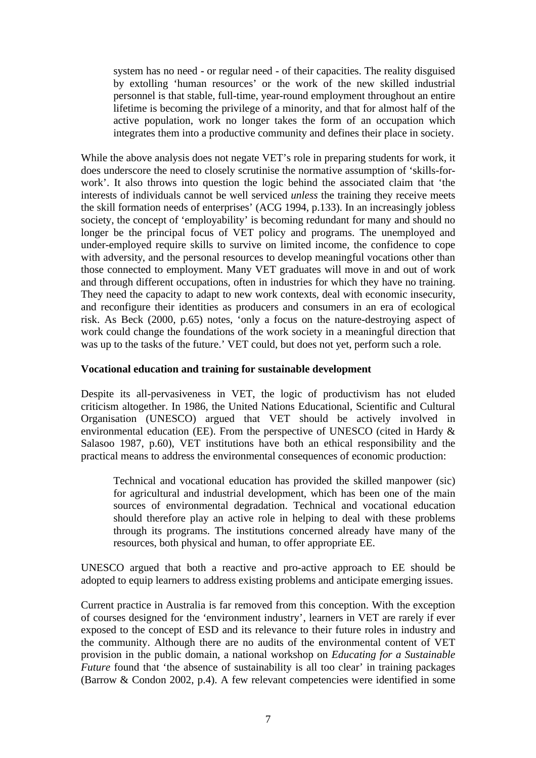system has no need - or regular need - of their capacities. The reality disguised by extolling 'human resources' or the work of the new skilled industrial personnel is that stable, full-time, year-round employment throughout an entire lifetime is becoming the privilege of a minority, and that for almost half of the active population, work no longer takes the form of an occupation which integrates them into a productive community and defines their place in society.

While the above analysis does not negate VET's role in preparing students for work, it does underscore the need to closely scrutinise the normative assumption of 'skills-forwork'. It also throws into question the logic behind the associated claim that 'the interests of individuals cannot be well serviced *unless* the training they receive meets the skill formation needs of enterprises' (ACG 1994, p.133). In an increasingly jobless society, the concept of 'employability' is becoming redundant for many and should no longer be the principal focus of VET policy and programs. The unemployed and under-employed require skills to survive on limited income, the confidence to cope with adversity, and the personal resources to develop meaningful vocations other than those connected to employment. Many VET graduates will move in and out of work and through different occupations, often in industries for which they have no training. They need the capacity to adapt to new work contexts, deal with economic insecurity, and reconfigure their identities as producers and consumers in an era of ecological risk. As Beck (2000, p.65) notes, 'only a focus on the nature-destroying aspect of work could change the foundations of the work society in a meaningful direction that was up to the tasks of the future.' VET could, but does not yet, perform such a role.

# **Vocational education and training for sustainable development**

Despite its all-pervasiveness in VET, the logic of productivism has not eluded criticism altogether. In 1986, the United Nations Educational, Scientific and Cultural Organisation (UNESCO) argued that VET should be actively involved in environmental education (EE). From the perspective of UNESCO (cited in Hardy & Salasoo 1987, p.60), VET institutions have both an ethical responsibility and the practical means to address the environmental consequences of economic production:

Technical and vocational education has provided the skilled manpower (sic) for agricultural and industrial development, which has been one of the main sources of environmental degradation. Technical and vocational education should therefore play an active role in helping to deal with these problems through its programs. The institutions concerned already have many of the resources, both physical and human, to offer appropriate EE.

UNESCO argued that both a reactive and pro-active approach to EE should be adopted to equip learners to address existing problems and anticipate emerging issues.

Current practice in Australia is far removed from this conception. With the exception of courses designed for the 'environment industry', learners in VET are rarely if ever exposed to the concept of ESD and its relevance to their future roles in industry and the community. Although there are no audits of the environmental content of VET provision in the public domain, a national workshop on *Educating for a Sustainable Future* found that 'the absence of sustainability is all too clear' in training packages (Barrow & Condon 2002, p.4). A few relevant competencies were identified in some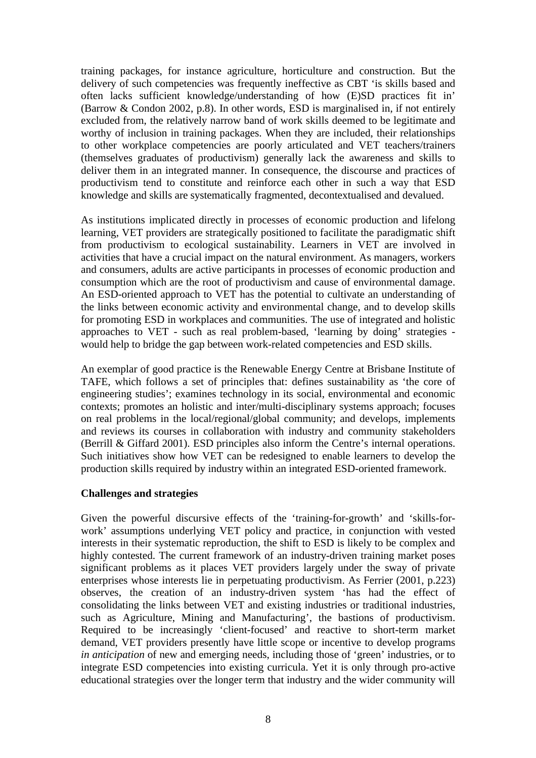training packages, for instance agriculture, horticulture and construction. But the delivery of such competencies was frequently ineffective as CBT 'is skills based and often lacks sufficient knowledge/understanding of how (E)SD practices fit in' (Barrow & Condon 2002, p.8). In other words, ESD is marginalised in, if not entirely excluded from, the relatively narrow band of work skills deemed to be legitimate and worthy of inclusion in training packages. When they are included, their relationships to other workplace competencies are poorly articulated and VET teachers/trainers (themselves graduates of productivism) generally lack the awareness and skills to deliver them in an integrated manner. In consequence, the discourse and practices of productivism tend to constitute and reinforce each other in such a way that ESD knowledge and skills are systematically fragmented, decontextualised and devalued.

As institutions implicated directly in processes of economic production and lifelong learning, VET providers are strategically positioned to facilitate the paradigmatic shift from productivism to ecological sustainability. Learners in VET are involved in activities that have a crucial impact on the natural environment. As managers, workers and consumers, adults are active participants in processes of economic production and consumption which are the root of productivism and cause of environmental damage. An ESD-oriented approach to VET has the potential to cultivate an understanding of the links between economic activity and environmental change, and to develop skills for promoting ESD in workplaces and communities. The use of integrated and holistic approaches to VET - such as real problem-based, 'learning by doing' strategies would help to bridge the gap between work-related competencies and ESD skills.

An exemplar of good practice is the Renewable Energy Centre at Brisbane Institute of TAFE, which follows a set of principles that: defines sustainability as 'the core of engineering studies'; examines technology in its social, environmental and economic contexts; promotes an holistic and inter/multi-disciplinary systems approach; focuses on real problems in the local/regional/global community; and develops, implements and reviews its courses in collaboration with industry and community stakeholders (Berrill & Giffard 2001). ESD principles also inform the Centre's internal operations. Such initiatives show how VET can be redesigned to enable learners to develop the production skills required by industry within an integrated ESD-oriented framework.

# **Challenges and strategies**

Given the powerful discursive effects of the 'training-for-growth' and 'skills-forwork' assumptions underlying VET policy and practice, in conjunction with vested interests in their systematic reproduction, the shift to ESD is likely to be complex and highly contested. The current framework of an industry-driven training market poses significant problems as it places VET providers largely under the sway of private enterprises whose interests lie in perpetuating productivism. As Ferrier (2001, p.223) observes, the creation of an industry-driven system 'has had the effect of consolidating the links between VET and existing industries or traditional industries, such as Agriculture, Mining and Manufacturing', the bastions of productivism. Required to be increasingly 'client-focused' and reactive to short-term market demand, VET providers presently have little scope or incentive to develop programs *in anticipation* of new and emerging needs, including those of 'green' industries, or to integrate ESD competencies into existing curricula. Yet it is only through pro-active educational strategies over the longer term that industry and the wider community will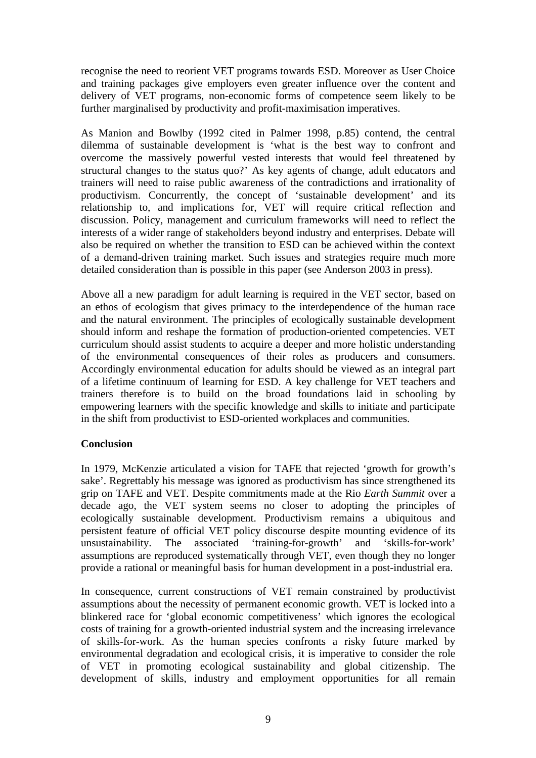recognise the need to reorient VET programs towards ESD. Moreover as User Choice and training packages give employers even greater influence over the content and delivery of VET programs, non-economic forms of competence seem likely to be further marginalised by productivity and profit-maximisation imperatives.

As Manion and Bowlby (1992 cited in Palmer 1998, p.85) contend, the central dilemma of sustainable development is 'what is the best way to confront and overcome the massively powerful vested interests that would feel threatened by structural changes to the status quo?' As key agents of change, adult educators and trainers will need to raise public awareness of the contradictions and irrationality of productivism. Concurrently, the concept of 'sustainable development' and its relationship to, and implications for, VET will require critical reflection and discussion. Policy, management and curriculum frameworks will need to reflect the interests of a wider range of stakeholders beyond industry and enterprises. Debate will also be required on whether the transition to ESD can be achieved within the context of a demand-driven training market. Such issues and strategies require much more detailed consideration than is possible in this paper (see Anderson 2003 in press).

Above all a new paradigm for adult learning is required in the VET sector, based on an ethos of ecologism that gives primacy to the interdependence of the human race and the natural environment. The principles of ecologically sustainable development should inform and reshape the formation of production-oriented competencies. VET curriculum should assist students to acquire a deeper and more holistic understanding of the environmental consequences of their roles as producers and consumers. Accordingly environmental education for adults should be viewed as an integral part of a lifetime continuum of learning for ESD. A key challenge for VET teachers and trainers therefore is to build on the broad foundations laid in schooling by empowering learners with the specific knowledge and skills to initiate and participate in the shift from productivist to ESD-oriented workplaces and communities.

# **Conclusion**

In 1979, McKenzie articulated a vision for TAFE that rejected 'growth for growth's sake'. Regrettably his message was ignored as productivism has since strengthened its grip on TAFE and VET. Despite commitments made at the Rio *Earth Summit* over a decade ago, the VET system seems no closer to adopting the principles of ecologically sustainable development. Productivism remains a ubiquitous and persistent feature of official VET policy discourse despite mounting evidence of its unsustainability. The associated 'training-for-growth' and 'skills-for-work' assumptions are reproduced systematically through VET, even though they no longer provide a rational or meaningful basis for human development in a post-industrial era.

In consequence, current constructions of VET remain constrained by productivist assumptions about the necessity of permanent economic growth. VET is locked into a blinkered race for 'global economic competitiveness' which ignores the ecological costs of training for a growth-oriented industrial system and the increasing irrelevance of skills-for-work. As the human species confronts a risky future marked by environmental degradation and ecological crisis, it is imperative to consider the role of VET in promoting ecological sustainability and global citizenship. The development of skills, industry and employment opportunities for all remain